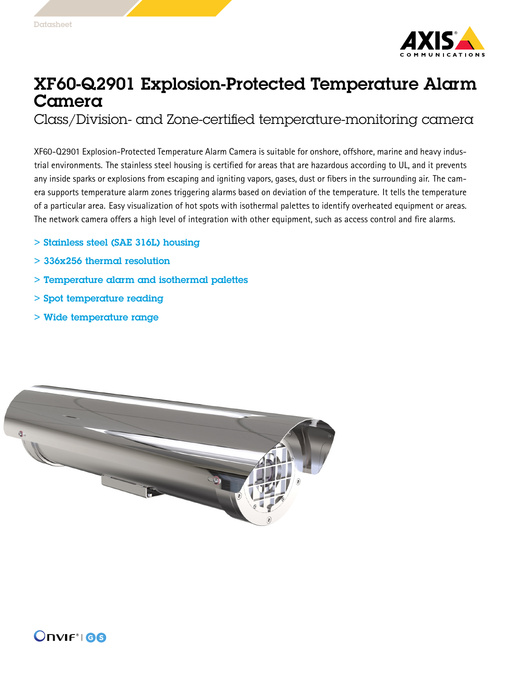

## XF60-Q2901 Explosion-Protected Temperature Alarm Camera

Class/Division- and Zone-certified temperature-monitoring camera

XF60-Q2901 Explosion-Protected Temperature Alarm Camera is suitable for onshore, offshore, marine and heavy industrial environments. The stainless steel housing is certified for areas that are hazardous according to UL, and it prevents any inside sparks or explosions from escaping and igniting vapors, gases, dust or fibers in the surrounding air. The camera supports temperature alarm zones triggering alarms based on deviation of the temperature. It tells the temperature of <sup>a</sup> particular area. Easy visualization of hot spots with isothermal palettes to identify overheated equipment or areas. The network camera offers <sup>a</sup> high level of integration with other equipment, such as access control and fire alarms.

- > Stainless steel (SAE 316L) housing
- > 336x256 thermal resolution
- > Temperature alarm and isothermal palettes
- > Spot temperature reading
- > Wide temperature range